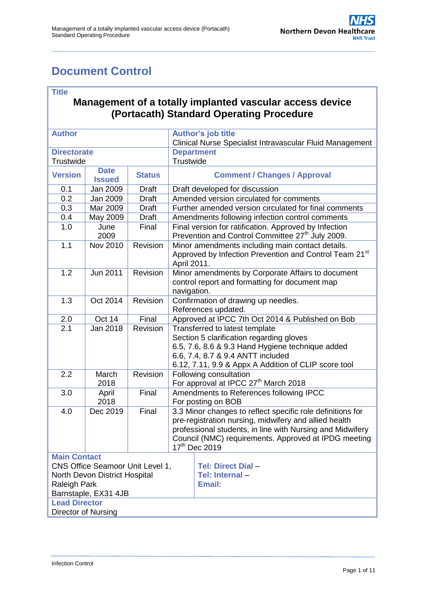# <span id="page-0-0"></span>**Document Control**

#### **Title**

#### **Management of a totally implanted vascular access device (Portacath) Standard Operating Procedure**

| <b>Author</b>                                               |                                                                                           |               | <b>Author's job title</b><br>Clinical Nurse Specialist Intravascular Fluid Management                                                                                                                                                                                 |  |  |
|-------------------------------------------------------------|-------------------------------------------------------------------------------------------|---------------|-----------------------------------------------------------------------------------------------------------------------------------------------------------------------------------------------------------------------------------------------------------------------|--|--|
| <b>Directorate</b>                                          |                                                                                           |               | <b>Department</b>                                                                                                                                                                                                                                                     |  |  |
| Trustwide                                                   |                                                                                           |               | Trustwide                                                                                                                                                                                                                                                             |  |  |
| <b>Version</b>                                              | <b>Date</b><br><b>Issued</b>                                                              | <b>Status</b> | <b>Comment / Changes / Approval</b>                                                                                                                                                                                                                                   |  |  |
| 0.1                                                         | Jan 2009                                                                                  | <b>Draft</b>  | Draft developed for discussion                                                                                                                                                                                                                                        |  |  |
| 0.2                                                         | Jan 2009                                                                                  | <b>Draft</b>  | Amended version circulated for comments                                                                                                                                                                                                                               |  |  |
| 0.3                                                         | Mar 2009                                                                                  | <b>Draft</b>  | Further amended version circulated for final comments                                                                                                                                                                                                                 |  |  |
| 0.4                                                         | May 2009                                                                                  | <b>Draft</b>  | Amendments following infection control comments                                                                                                                                                                                                                       |  |  |
| 1.0                                                         | June<br>2009                                                                              | Final         | Final version for ratification. Approved by Infection<br>Prevention and Control Committee 27 <sup>th</sup> July 2009.                                                                                                                                                 |  |  |
| 1.1                                                         | Nov 2010                                                                                  | Revision      | Minor amendments including main contact details.<br>Approved by Infection Prevention and Control Team 21st<br>April 2011.                                                                                                                                             |  |  |
| $\overline{1.2}$                                            | Jun 2011                                                                                  | Revision      | Minor amendments by Corporate Affairs to document<br>control report and formatting for document map<br>navigation.                                                                                                                                                    |  |  |
| 1.3                                                         | Oct 2014                                                                                  | Revision      | Confirmation of drawing up needles.<br>References updated.                                                                                                                                                                                                            |  |  |
| 2.0                                                         | Oct 14                                                                                    | Final         | Approved at IPCC 7th Oct 2014 & Published on Bob                                                                                                                                                                                                                      |  |  |
| 2.1                                                         | Jan 2018                                                                                  | Revision      | Transferred to latest template<br>Section 5 clarification regarding gloves<br>6.5, 7.6, 8.6 & 9.3 Hand Hygiene technique added<br>6.6, 7.4, 8.7 & 9.4 ANTT included<br>6.12, 7.11, 9.9 & Appx A Addition of CLIP score tool                                           |  |  |
| 2.2                                                         | March<br>2018                                                                             | Revision      | Following consultation<br>For approval at IPCC 27 <sup>th</sup> March 2018                                                                                                                                                                                            |  |  |
| 3.0                                                         | April<br>2018                                                                             | Final         | Amendments to References following IPCC<br>For posting on BOB                                                                                                                                                                                                         |  |  |
| 4.0                                                         | Dec 2019                                                                                  | Final         | 3.3 Minor changes to reflect specific role definitions for<br>pre-registration nursing, midwifery and allied health<br>professional students, in line with Nursing and Midwifery<br>Council (NMC) requirements. Approved at IPDG meeting<br>17 <sup>th</sup> Dec 2019 |  |  |
| <b>Main Contact</b><br>Raleigh Park<br><b>Lead Director</b> | CNS Office Seamoor Unit Level 1,<br>North Devon District Hospital<br>Barnstaple, EX31 4JB |               | Tel: Direct Dial-<br>Tel: Internal-<br><b>Email:</b>                                                                                                                                                                                                                  |  |  |
| Director of Nursing                                         |                                                                                           |               |                                                                                                                                                                                                                                                                       |  |  |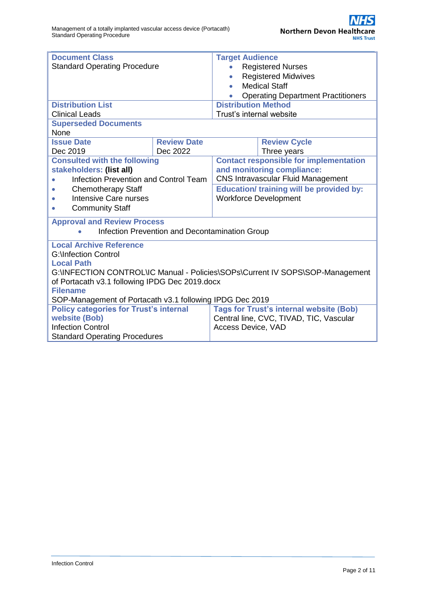| <b>Document Class</b>                                                         |                    | <b>Target Audience</b>                          |                                                |  |  |  |  |
|-------------------------------------------------------------------------------|--------------------|-------------------------------------------------|------------------------------------------------|--|--|--|--|
| <b>Standard Operating Procedure</b>                                           |                    | <b>Registered Nurses</b>                        |                                                |  |  |  |  |
|                                                                               |                    |                                                 | <b>Registered Midwives</b>                     |  |  |  |  |
|                                                                               |                    | <b>Medical Staff</b><br>$\bullet$               |                                                |  |  |  |  |
|                                                                               |                    | <b>Operating Department Practitioners</b>       |                                                |  |  |  |  |
| <b>Distribution List</b>                                                      |                    | <b>Distribution Method</b>                      |                                                |  |  |  |  |
| <b>Clinical Leads</b>                                                         |                    | Trust's internal website                        |                                                |  |  |  |  |
| <b>Superseded Documents</b>                                                   |                    |                                                 |                                                |  |  |  |  |
| None                                                                          |                    |                                                 |                                                |  |  |  |  |
| <b>Issue Date</b>                                                             | <b>Review Date</b> |                                                 | <b>Review Cycle</b>                            |  |  |  |  |
| Dec 2019<br>Dec 2022                                                          |                    | Three years                                     |                                                |  |  |  |  |
| <b>Consulted with the following</b>                                           |                    | <b>Contact responsible for implementation</b>   |                                                |  |  |  |  |
| stakeholders: (list all)                                                      |                    | and monitoring compliance:                      |                                                |  |  |  |  |
| <b>Infection Prevention and Control Team</b>                                  |                    | <b>CNS Intravascular Fluid Management</b>       |                                                |  |  |  |  |
| <b>Chemotherapy Staff</b>                                                     |                    | <b>Education/ training will be provided by:</b> |                                                |  |  |  |  |
| Intensive Care nurses                                                         |                    | <b>Workforce Development</b>                    |                                                |  |  |  |  |
| <b>Community Staff</b>                                                        |                    |                                                 |                                                |  |  |  |  |
| <b>Approval and Review Process</b>                                            |                    |                                                 |                                                |  |  |  |  |
| Infection Prevention and Decontamination Group<br>$\bullet$                   |                    |                                                 |                                                |  |  |  |  |
|                                                                               |                    |                                                 |                                                |  |  |  |  |
| <b>Local Archive Reference</b>                                                |                    |                                                 |                                                |  |  |  |  |
| <b>G:</b> \Infection Control                                                  |                    |                                                 |                                                |  |  |  |  |
|                                                                               | <b>Local Path</b>  |                                                 |                                                |  |  |  |  |
| G:\INFECTION CONTROL\IC Manual - Policies\SOPs\Current IV SOPS\SOP-Management |                    |                                                 |                                                |  |  |  |  |
| of Portacath v3.1 following IPDG Dec 2019.docx                                |                    |                                                 |                                                |  |  |  |  |
| <b>Filename</b><br>SOP-Management of Portacath v3.1 following IPDG Dec 2019   |                    |                                                 |                                                |  |  |  |  |
|                                                                               |                    |                                                 | <b>Tags for Trust's internal website (Bob)</b> |  |  |  |  |
| <b>Policy categories for Trust's internal</b><br>website (Bob)                |                    |                                                 |                                                |  |  |  |  |
| <b>Infection Control</b>                                                      |                    | Access Device, VAD                              | Central line, CVC, TIVAD, TIC, Vascular        |  |  |  |  |
| <b>Standard Operating Procedures</b>                                          |                    |                                                 |                                                |  |  |  |  |
|                                                                               |                    |                                                 |                                                |  |  |  |  |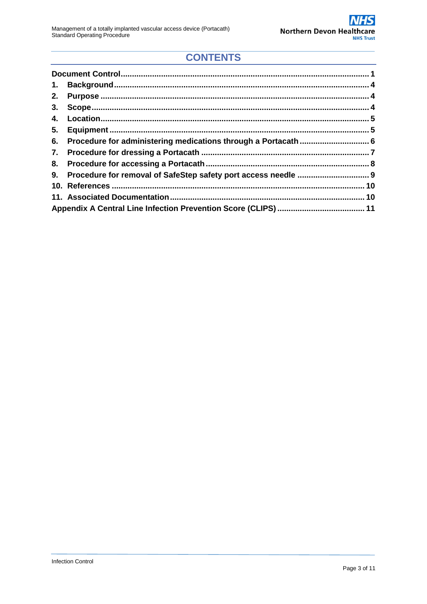## **CONTENTS**

| 1. |  |  |  |  |
|----|--|--|--|--|
| 2. |  |  |  |  |
|    |  |  |  |  |
| 4. |  |  |  |  |
| 5. |  |  |  |  |
|    |  |  |  |  |
|    |  |  |  |  |
|    |  |  |  |  |
|    |  |  |  |  |
|    |  |  |  |  |
|    |  |  |  |  |
|    |  |  |  |  |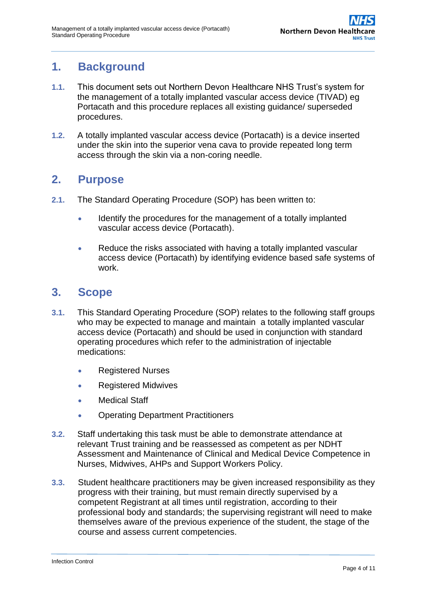## <span id="page-3-0"></span>**1. Background**

- **1.1.** This document sets out Northern Devon Healthcare NHS Trust's system for the management of a totally implanted vascular access device (TIVAD) eg Portacath and this procedure replaces all existing guidance/ superseded procedures.
- **1.2.** A totally implanted vascular access device (Portacath) is a device inserted under the skin into the superior vena cava to provide repeated long term access through the skin via a non-coring needle.

### <span id="page-3-1"></span>**2. Purpose**

- **2.1.** The Standard Operating Procedure (SOP) has been written to:
	- Identify the procedures for the management of a totally implanted vascular access device (Portacath).
	- Reduce the risks associated with having a totally implanted vascular access device (Portacath) by identifying evidence based safe systems of work.

## <span id="page-3-2"></span>**3. Scope**

- **3.1.** This Standard Operating Procedure (SOP) relates to the following staff groups who may be expected to manage and maintain a totally implanted vascular access device (Portacath) and should be used in conjunction with standard operating procedures which refer to the administration of injectable medications:
	- Registered Nurses
	- Registered Midwives
	- Medical Staff
	- Operating Department Practitioners
- **3.2.** Staff undertaking this task must be able to demonstrate attendance at relevant Trust training and be reassessed as competent as per NDHT Assessment and Maintenance of Clinical and Medical Device Competence in Nurses, Midwives, AHPs and Support Workers Policy.
- **3.3.** Student healthcare practitioners may be given increased responsibility as they progress with their training, but must remain directly supervised by a competent Registrant at all times until registration, according to their professional body and standards; the supervising registrant will need to make themselves aware of the previous experience of the student, the stage of the course and assess current competencies.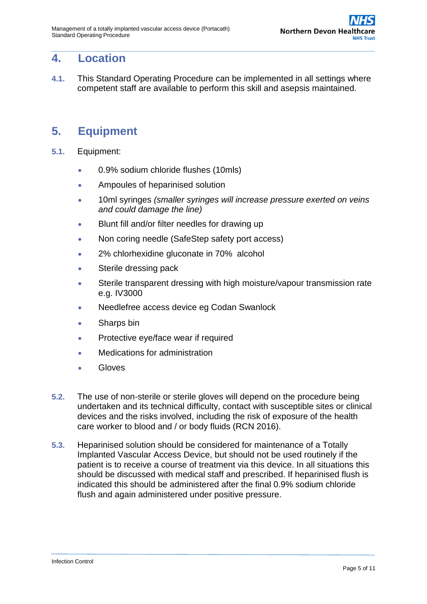### <span id="page-4-0"></span>**4. Location**

**4.1.** This Standard Operating Procedure can be implemented in all settings where competent staff are available to perform this skill and asepsis maintained.

## <span id="page-4-1"></span>**5. Equipment**

- **5.1.** Equipment:
	- 0.9% sodium chloride flushes (10mls)
	- Ampoules of heparinised solution
	- 10ml syringes *(smaller syringes will increase pressure exerted on veins and could damage the line)*
	- **Blunt fill and/or filter needles for drawing up**
	- Non coring needle (SafeStep safety port access)
	- 2% chlorhexidine gluconate in 70% alcohol
	- Sterile dressing pack
	- Sterile transparent dressing with high moisture/vapour transmission rate e.g. IV3000
	- Needlefree access device eg Codan Swanlock
	- Sharps bin
	- Protective eye/face wear if required
	- Medications for administration
	- Gloves
- **5.2.** The use of non-sterile or sterile gloves will depend on the procedure being undertaken and its technical difficulty, contact with susceptible sites or clinical devices and the risks involved, including the risk of exposure of the health care worker to blood and / or body fluids (RCN 2016).
- **5.3.** Heparinised solution should be considered for maintenance of a Totally Implanted Vascular Access Device, but should not be used routinely if the patient is to receive a course of treatment via this device. In all situations this should be discussed with medical staff and prescribed. If heparinised flush is indicated this should be administered after the final 0.9% sodium chloride flush and again administered under positive pressure.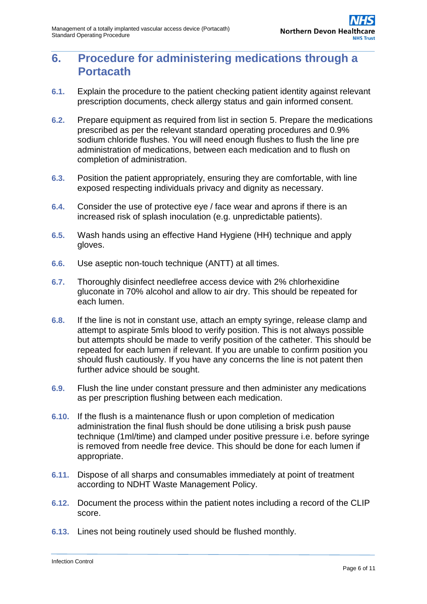## **6. Procedure for administering medications through a Portacath**

- **6.1.** Explain the procedure to the patient checking patient identity against relevant prescription documents, check allergy status and gain informed consent.
- **6.2.** Prepare equipment as required from list in section 5. Prepare the medications prescribed as per the relevant standard operating procedures and 0.9% sodium chloride flushes. You will need enough flushes to flush the line pre administration of medications, between each medication and to flush on completion of administration.
- **6.3.** Position the patient appropriately, ensuring they are comfortable, with line exposed respecting individuals privacy and dignity as necessary.
- **6.4.** Consider the use of protective eye / face wear and aprons if there is an increased risk of splash inoculation (e.g. unpredictable patients).
- **6.5.** Wash hands using an effective Hand Hygiene (HH) technique and apply gloves.
- **6.6.** Use aseptic non-touch technique (ANTT) at all times.
- **6.7.** Thoroughly disinfect needlefree access device with 2% chlorhexidine gluconate in 70% alcohol and allow to air dry. This should be repeated for each lumen.
- **6.8.** If the line is not in constant use, attach an empty syringe, release clamp and attempt to aspirate 5mls blood to verify position. This is not always possible but attempts should be made to verify position of the catheter. This should be repeated for each lumen if relevant. If you are unable to confirm position you should flush cautiously. If you have any concerns the line is not patent then further advice should be sought.
- **6.9.** Flush the line under constant pressure and then administer any medications as per prescription flushing between each medication.
- **6.10.** If the flush is a maintenance flush or upon completion of medication administration the final flush should be done utilising a brisk push pause technique (1ml/time) and clamped under positive pressure i.e. before syringe is removed from needle free device. This should be done for each lumen if appropriate.
- **6.11.** Dispose of all sharps and consumables immediately at point of treatment according to NDHT Waste Management Policy.
- **6.12.** Document the process within the patient notes including a record of the CLIP score.
- **6.13.** Lines not being routinely used should be flushed monthly.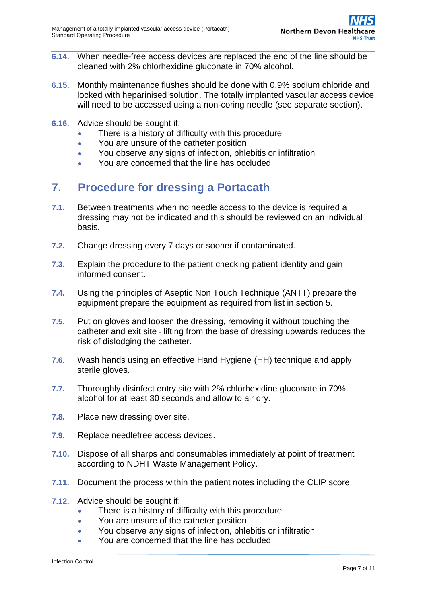- **6.14.** When needle-free access devices are replaced the end of the line should be cleaned with 2% chlorhexidine gluconate in 70% alcohol.
- **6.15.** Monthly maintenance flushes should be done with 0.9% sodium chloride and locked with heparinised solution. The totally implanted vascular access device will need to be accessed using a non-coring needle (see separate section).
- **6.16.** Advice should be sought if:
	- There is a history of difficulty with this procedure
	- You are unsure of the catheter position
	- You observe any signs of infection, phlebitis or infiltration
	- You are concerned that the line has occluded

### **7. Procedure for dressing a Portacath**

- **7.1.** Between treatments when no needle access to the device is required a dressing may not be indicated and this should be reviewed on an individual basis.
- **7.2.** Change dressing every 7 days or sooner if contaminated.
- **7.3.** Explain the procedure to the patient checking patient identity and gain informed consent.
- **7.4.** Using the principles of Aseptic Non Touch Technique (ANTT) prepare the equipment prepare the equipment as required from list in section 5.
- **7.5.** Put on gloves and loosen the dressing, removing it without touching the catheter and exit site - lifting from the base of dressing upwards reduces the risk of dislodging the catheter.
- **7.6.** Wash hands using an effective Hand Hygiene (HH) technique and apply sterile gloves.
- **7.7.** Thoroughly disinfect entry site with 2% chlorhexidine gluconate in 70% alcohol for at least 30 seconds and allow to air dry.
- **7.8.** Place new dressing over site.
- **7.9.** Replace needlefree access devices.
- **7.10.** Dispose of all sharps and consumables immediately at point of treatment according to NDHT Waste Management Policy.
- **7.11.** Document the process within the patient notes including the CLIP score.
- **7.12.** Advice should be sought if:
	- There is a history of difficulty with this procedure
	- You are unsure of the catheter position
	- You observe any signs of infection, phlebitis or infiltration
	- You are concerned that the line has occluded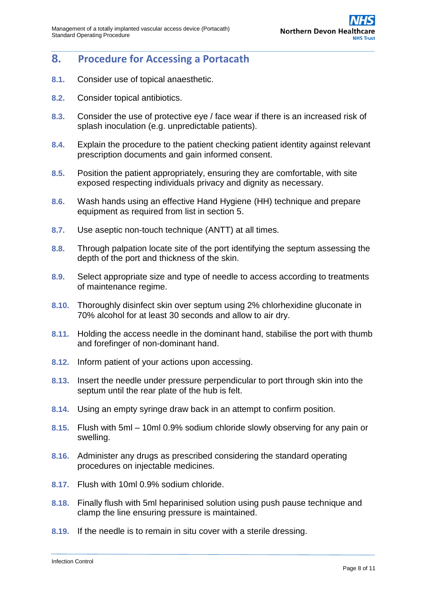#### **8. Procedure for Accessing a Portacath**

- **8.1.** Consider use of topical anaesthetic.
- **8.2.** Consider topical antibiotics.
- **8.3.** Consider the use of protective eye / face wear if there is an increased risk of splash inoculation (e.g. unpredictable patients).
- **8.4.** Explain the procedure to the patient checking patient identity against relevant prescription documents and gain informed consent.
- **8.5.** Position the patient appropriately, ensuring they are comfortable, with site exposed respecting individuals privacy and dignity as necessary.
- **8.6.** Wash hands using an effective Hand Hygiene (HH) technique and prepare equipment as required from list in section 5.
- **8.7.** Use aseptic non-touch technique (ANTT) at all times.
- **8.8.** Through palpation locate site of the port identifying the septum assessing the depth of the port and thickness of the skin.
- **8.9.** Select appropriate size and type of needle to access according to treatments of maintenance regime.
- **8.10.** Thoroughly disinfect skin over septum using 2% chlorhexidine gluconate in 70% alcohol for at least 30 seconds and allow to air dry.
- **8.11.** Holding the access needle in the dominant hand, stabilise the port with thumb and forefinger of non-dominant hand.
- **8.12.** Inform patient of your actions upon accessing.
- **8.13.** Insert the needle under pressure perpendicular to port through skin into the septum until the rear plate of the hub is felt.
- **8.14.** Using an empty syringe draw back in an attempt to confirm position.
- **8.15.** Flush with 5ml 10ml 0.9% sodium chloride slowly observing for any pain or swelling.
- **8.16.** Administer any drugs as prescribed considering the standard operating procedures on injectable medicines.
- **8.17.** Flush with 10ml 0.9% sodium chloride.
- **8.18.** Finally flush with 5ml heparinised solution using push pause technique and clamp the line ensuring pressure is maintained.
- **8.19.** If the needle is to remain in situ cover with a sterile dressing.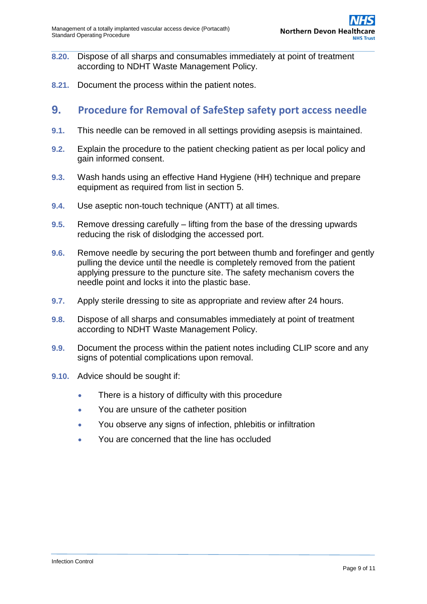- **8.20.** Dispose of all sharps and consumables immediately at point of treatment according to NDHT Waste Management Policy.
- **8.21.** Document the process within the patient notes.

#### **9. Procedure for Removal of SafeStep safety port access needle**

- **9.1.** This needle can be removed in all settings providing asepsis is maintained.
- **9.2.** Explain the procedure to the patient checking patient as per local policy and gain informed consent.
- **9.3.** Wash hands using an effective Hand Hygiene (HH) technique and prepare equipment as required from list in section 5.
- **9.4.** Use aseptic non-touch technique (ANTT) at all times.
- **9.5.** Remove dressing carefully lifting from the base of the dressing upwards reducing the risk of dislodging the accessed port.
- **9.6.** Remove needle by securing the port between thumb and forefinger and gently pulling the device until the needle is completely removed from the patient applying pressure to the puncture site. The safety mechanism covers the needle point and locks it into the plastic base.
- **9.7.** Apply sterile dressing to site as appropriate and review after 24 hours.
- **9.8.** Dispose of all sharps and consumables immediately at point of treatment according to NDHT Waste Management Policy.
- **9.9.** Document the process within the patient notes including CLIP score and any signs of potential complications upon removal.
- <span id="page-8-0"></span>**9.10.** Advice should be sought if:
	- There is a history of difficulty with this procedure
	- You are unsure of the catheter position
	- You observe any signs of infection, phlebitis or infiltration
	- You are concerned that the line has occluded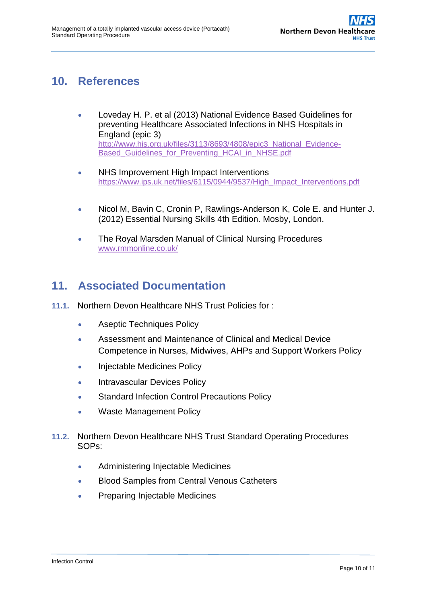## **10. References**

- Loveday H. P. et al (2013) National Evidence Based Guidelines for preventing Healthcare Associated Infections in NHS Hospitals in England (epic 3) [http://www.his.org.uk/files/3113/8693/4808/epic3\\_National\\_Evidence-](http://www.his.org.uk/files/3113/8693/4808/epic3_National_Evidence-Based_Guidelines_for_Preventing_HCAI_in_NHSE.pdf)Based Guidelines for Preventing HCAI in NHSE.pdf
- NHS Improvement High Impact Interventions [https://www.ips.uk.net/files/6115/0944/9537/High\\_Impact\\_Interventions.pdf](https://www.ips.uk.net/files/6115/0944/9537/High_Impact_Interventions.pdf)
- Nicol M, Bavin C, Cronin P, Rawlings-Anderson K, Cole E. and Hunter J. (2012) Essential Nursing Skills 4th Edition. Mosby, London.
- The Royal Marsden Manual of Clinical Nursing Procedures [www.rmmonline.co.uk/](http://www.rmmonline.co.uk/)

## <span id="page-9-0"></span>**11. Associated Documentation**

- **11.1.** Northern Devon Healthcare NHS Trust Policies for :
	- [Aseptic Techniques Policy](http://ndht.ndevon.swest.nhs.uk/policies/?p=1222)
	- Assessment and Maintenance of Clinical and Medical Device Competence in Nurses, Midwives, AHPs and Support Workers Policy
	- Injectable Medicines Policy
	- [Intravascular Devices Policy](http://ndht.ndevon.swest.nhs.uk/policies/?p=1264)
	- [Standard Infection Control Precautions Policy](http://ndht.ndevon.swest.nhs.uk/policies/?p=1302)
	- Waste Management Policy
- **11.2.** Northern Devon Healthcare NHS Trust Standard Operating Procedures SOPs:
	- Administering Injectable Medicines
	- **Blood Samples from Central Venous Catheters**
	- Preparing Injectable Medicines